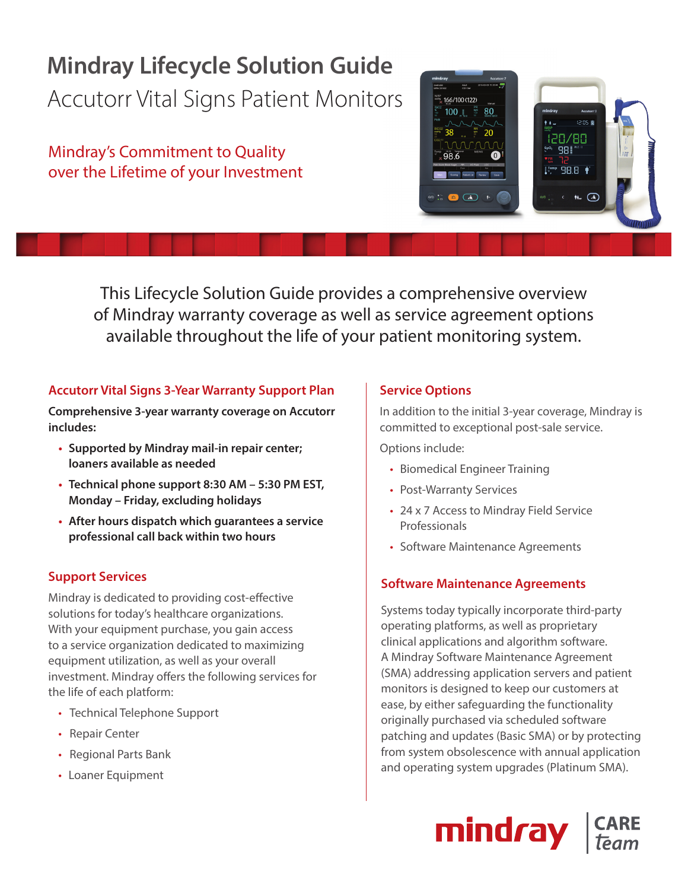## **Mindray Lifecycle Solution Guide** Accutorr Vital Signs Patient Monitors

Mindray's Commitment to Quality over the Lifetime of your Investment



This Lifecycle Solution Guide provides a comprehensive overview of Mindray warranty coverage as well as service agreement options available throughout the life of your patient monitoring system.

#### **Accutorr Vital Signs 3-Year Warranty Support Plan**

**Comprehensive 3-year warranty coverage on Accutorr includes:**

- **Supported by Mindray mail-in repair center; loaners available as needed**
- **Technical phone support 8:30 AM 5:30 PM EST, Monday – Friday, excluding holidays**
- **After hours dispatch which guarantees a service professional call back within two hours**

#### **Support Services**

Mindray is dedicated to providing cost-effective solutions for today's healthcare organizations. With your equipment purchase, you gain access to a service organization dedicated to maximizing equipment utilization, as well as your overall investment. Mindray offers the following services for the life of each platform:

- Technical Telephone Support
- Repair Center
- Regional Parts Bank
- Loaner Equipment

#### **Service Options**

In addition to the initial 3-year coverage, Mindray is committed to exceptional post-sale service.

Options include:

- Biomedical Engineer Training
- Post-Warranty Services
- 24 x 7 Access to Mindray Field Service Professionals
- Software Maintenance Agreements

#### **Software Maintenance Agreements**

Systems today typically incorporate third-party operating platforms, as well as proprietary clinical applications and algorithm software. A Mindray Software Maintenance Agreement (SMA) addressing application servers and patient monitors is designed to keep our customers at ease, by either safeguarding the functionality originally purchased via scheduled software patching and updates (Basic SMA) or by protecting from system obsolescence with annual application and operating system upgrades (Platinum SMA).